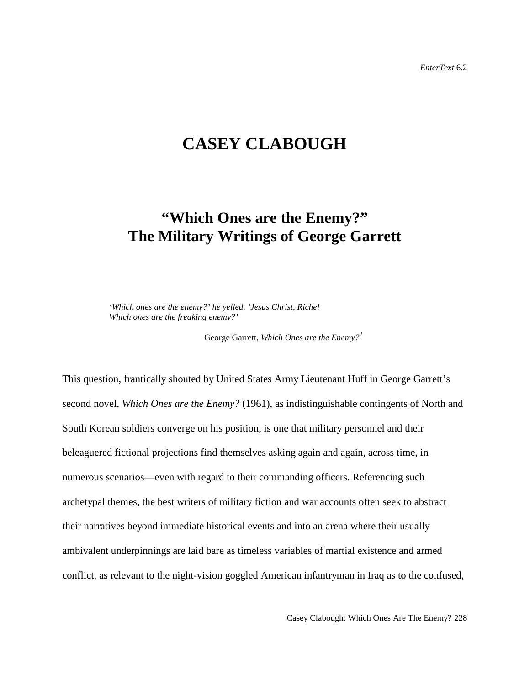## **CASEY CLABOUGH**

# **"Which Ones are the Enemy?" The Military Writings of George Garrett**

*'Which ones are the enemy?' he yelled. 'Jesus Christ, Riche! Which ones are the freaking enemy?'*

George Garrett, *Which Ones are the Enemy?[1](#page-24-0)*

This question, frantically shouted by United States Army Lieutenant Huff in George Garrett's second novel, *Which Ones are the Enemy?* (1961), as indistinguishable contingents of North and South Korean soldiers converge on his position, is one that military personnel and their beleaguered fictional projections find themselves asking again and again, across time, in numerous scenarios—even with regard to their commanding officers. Referencing such archetypal themes, the best writers of military fiction and war accounts often seek to abstract their narratives beyond immediate historical events and into an arena where their usually ambivalent underpinnings are laid bare as timeless variables of martial existence and armed conflict, as relevant to the night-vision goggled American infantryman in Iraq as to the confused,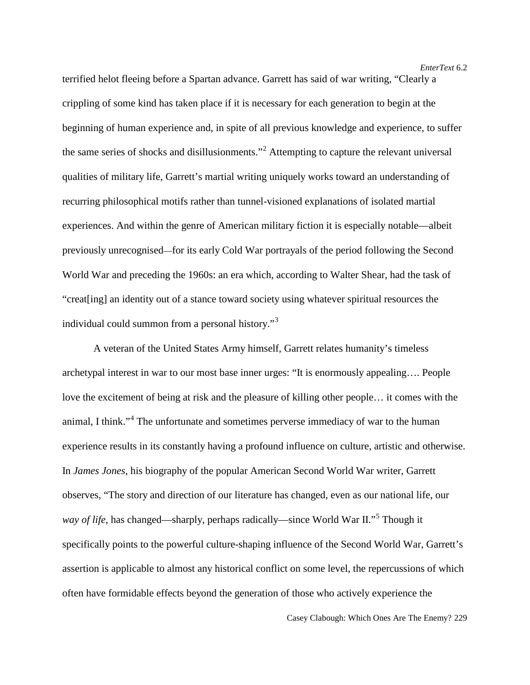terrified helot fleeing before a Spartan advance. Garrett has said of war writing, "Clearly a crippling of some kind has taken place if it is necessary for each generation to begin at the beginning of human experience and, in spite of all previous knowledge and experience, to suffer the same series of shocks and disillusionments."<sup>[2](#page-25-0)</sup> Attempting to capture the relevant universal qualities of military life, Garrett's martial writing uniquely works toward an understanding of recurring philosophical motifs rather than tunnel-visioned explanations of isolated martial experiences. And within the genre of American military fiction it is especially notable—albeit previously unrecognised—for its early Cold War portrayals of the period following the Second World War and preceding the 1960s: an era which, according to Walter Shear, had the task of "creat[ing] an identity out of a stance toward society using whatever spiritual resources the individual could summon from a personal history."<sup>[3](#page-25-1)</sup>

A veteran of the United States Army himself, Garrett relates humanity's timeless archetypal interest in war to our most base inner urges: "It is enormously appealing…. People love the excitement of being at risk and the pleasure of killing other people… it comes with the animal, I think."<sup>[4](#page-25-2)</sup> The unfortunate and sometimes perverse immediacy of war to the human experience results in its constantly having a profound influence on culture, artistic and otherwise. In *James Jones*, his biography of the popular American Second World War writer, Garrett observes, "The story and direction of our literature has changed, even as our national life, our *way of life*, has changed—sharply, perhaps radically—since World War II."[5](#page-25-3) Though it specifically points to the powerful culture-shaping influence of the Second World War, Garrett's assertion is applicable to almost any historical conflict on some level, the repercussions of which often have formidable effects beyond the generation of those who actively experience the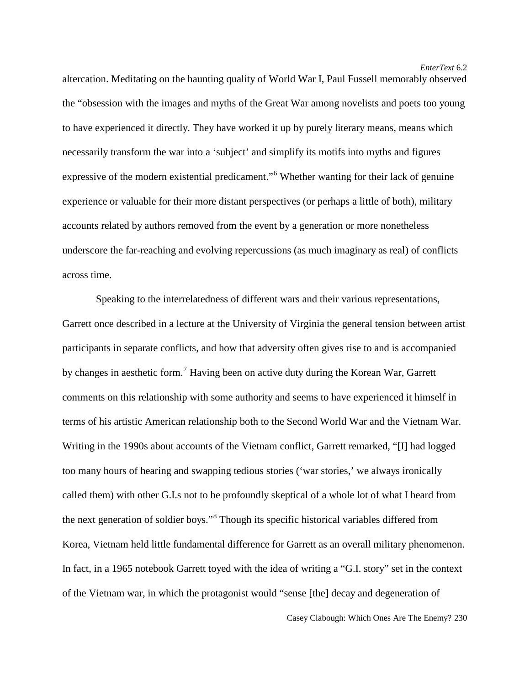altercation. Meditating on the haunting quality of World War I, Paul Fussell memorably observed the "obsession with the images and myths of the Great War among novelists and poets too young to have experienced it directly. They have worked it up by purely literary means, means which necessarily transform the war into a 'subject' and simplify its motifs into myths and figures expressive of the modern existential predicament."<sup>[6](#page-25-4)</sup> Whether wanting for their lack of genuine experience or valuable for their more distant perspectives (or perhaps a little of both), military accounts related by authors removed from the event by a generation or more nonetheless underscore the far-reaching and evolving repercussions (as much imaginary as real) of conflicts across time.

Speaking to the interrelatedness of different wars and their various representations, Garrett once described in a lecture at the University of Virginia the general tension between artist participants in separate conflicts, and how that adversity often gives rise to and is accompanied by changes in aesthetic form.[7](#page-25-5) Having been on active duty during the Korean War, Garrett comments on this relationship with some authority and seems to have experienced it himself in terms of his artistic American relationship both to the Second World War and the Vietnam War. Writing in the 1990s about accounts of the Vietnam conflict, Garrett remarked, "[I] had logged too many hours of hearing and swapping tedious stories ('war stories,' we always ironically called them) with other G.I.s not to be profoundly skeptical of a whole lot of what I heard from the next generation of soldier boys."[8](#page-25-6) Though its specific historical variables differed from Korea, Vietnam held little fundamental difference for Garrett as an overall military phenomenon. In fact, in a 1965 notebook Garrett toyed with the idea of writing a "G.I. story" set in the context of the Vietnam war, in which the protagonist would "sense [the] decay and degeneration of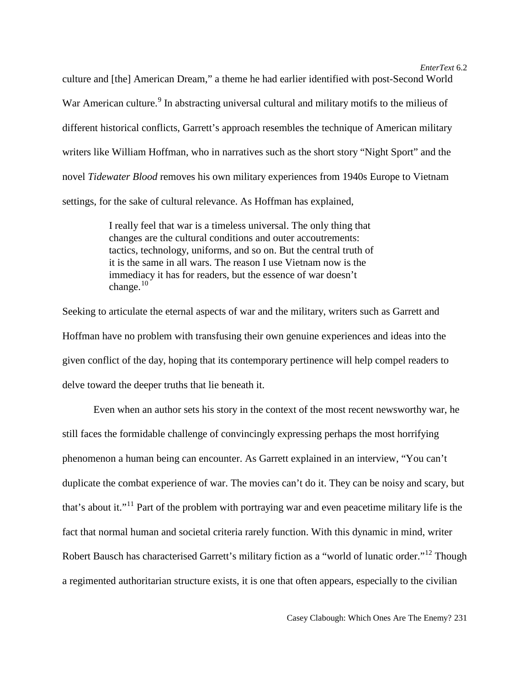culture and [the] American Dream," a theme he had earlier identified with post-Second World War American culture.<sup>[9](#page-25-7)</sup> In abstracting universal cultural and military motifs to the milieus of different historical conflicts, Garrett's approach resembles the technique of American military writers like William Hoffman, who in narratives such as the short story "Night Sport" and the novel *Tidewater Blood* removes his own military experiences from 1940s Europe to Vietnam settings, for the sake of cultural relevance. As Hoffman has explained,

> I really feel that war is a timeless universal. The only thing that changes are the cultural conditions and outer accoutrements: tactics, technology, uniforms, and so on. But the central truth of it is the same in all wars. The reason I use Vietnam now is the immediacy it has for readers, but the essence of war doesn't change. $10$

Seeking to articulate the eternal aspects of war and the military, writers such as Garrett and Hoffman have no problem with transfusing their own genuine experiences and ideas into the given conflict of the day, hoping that its contemporary pertinence will help compel readers to delve toward the deeper truths that lie beneath it.

Even when an author sets his story in the context of the most recent newsworthy war, he still faces the formidable challenge of convincingly expressing perhaps the most horrifying phenomenon a human being can encounter. As Garrett explained in an interview, "You can't duplicate the combat experience of war. The movies can't do it. They can be noisy and scary, but that's about it."<sup>[11](#page-25-9)</sup> Part of the problem with portraying war and even peacetime military life is the fact that normal human and societal criteria rarely function. With this dynamic in mind, writer Robert Bausch has characterised Garrett's military fiction as a "world of lunatic order."<sup>[12](#page-25-10)</sup> Though a regimented authoritarian structure exists, it is one that often appears, especially to the civilian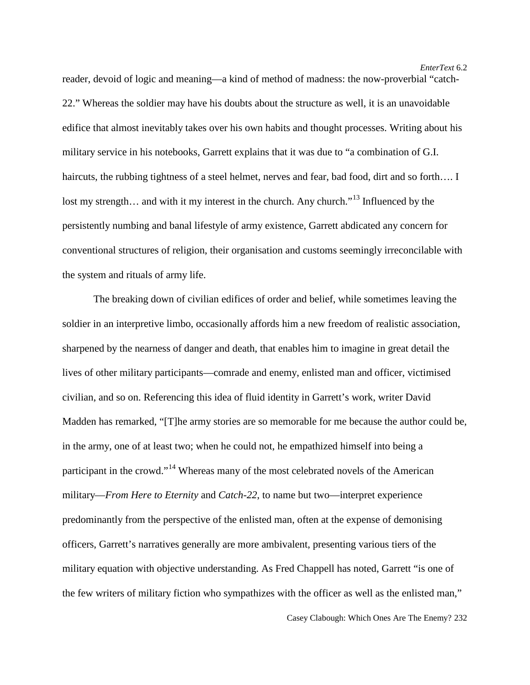reader, devoid of logic and meaning—a kind of method of madness: the now-proverbial "catch-22." Whereas the soldier may have his doubts about the structure as well, it is an unavoidable edifice that almost inevitably takes over his own habits and thought processes. Writing about his military service in his notebooks, Garrett explains that it was due to "a combination of G.I. haircuts, the rubbing tightness of a steel helmet, nerves and fear, bad food, dirt and so forth.... I lost my strength... and with it my interest in the church. Any church."<sup>[13](#page-25-11)</sup> Influenced by the persistently numbing and banal lifestyle of army existence, Garrett abdicated any concern for conventional structures of religion, their organisation and customs seemingly irreconcilable with the system and rituals of army life.

The breaking down of civilian edifices of order and belief, while sometimes leaving the soldier in an interpretive limbo, occasionally affords him a new freedom of realistic association, sharpened by the nearness of danger and death, that enables him to imagine in great detail the lives of other military participants—comrade and enemy, enlisted man and officer, victimised civilian, and so on. Referencing this idea of fluid identity in Garrett's work, writer David Madden has remarked, "[T]he army stories are so memorable for me because the author could be, in the army, one of at least two; when he could not, he empathized himself into being a participant in the crowd."<sup>[14](#page-25-12)</sup> Whereas many of the most celebrated novels of the American military—*From Here to Eternity* and *Catch-22*, to name but two—interpret experience predominantly from the perspective of the enlisted man, often at the expense of demonising officers, Garrett's narratives generally are more ambivalent, presenting various tiers of the military equation with objective understanding. As Fred Chappell has noted, Garrett "is one of the few writers of military fiction who sympathizes with the officer as well as the enlisted man,"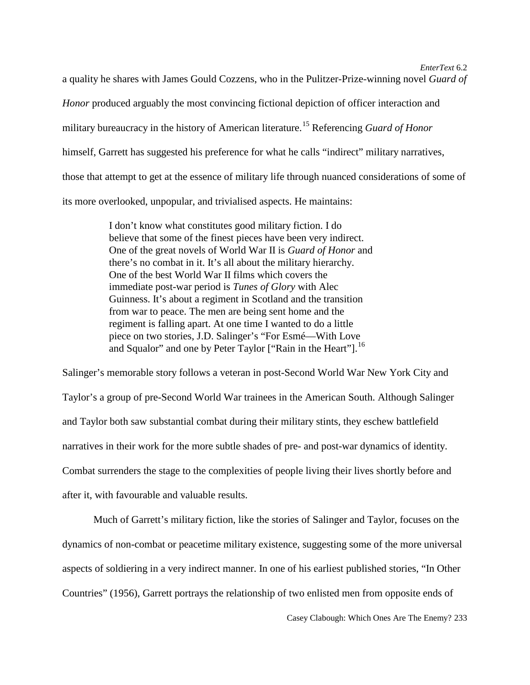a quality he shares with James Gould Cozzens, who in the Pulitzer-Prize-winning novel *Guard of Honor* produced arguably the most convincing fictional depiction of officer interaction and military bureaucracy in the history of American literature.[15](#page-25-13) Referencing *Guard of Honor*  himself, Garrett has suggested his preference for what he calls "indirect" military narratives, those that attempt to get at the essence of military life through nuanced considerations of some of its more overlooked, unpopular, and trivialised aspects. He maintains:

> I don't know what constitutes good military fiction. I do believe that some of the finest pieces have been very indirect. One of the great novels of World War II is *Guard of Honor* and there's no combat in it. It's all about the military hierarchy. One of the best World War II films which covers the immediate post-war period is *Tunes of Glory* with Alec Guinness. It's about a regiment in Scotland and the transition from war to peace. The men are being sent home and the regiment is falling apart. At one time I wanted to do a little piece on two stories, J.D. Salinger's "For Esmé—With Love and Squalor" and one by Peter Taylor ["Rain in the Heart"].<sup>[16](#page-25-14)</sup>

Salinger's memorable story follows a veteran in post-Second World War New York City and Taylor's a group of pre-Second World War trainees in the American South. Although Salinger and Taylor both saw substantial combat during their military stints, they eschew battlefield narratives in their work for the more subtle shades of pre- and post-war dynamics of identity. Combat surrenders the stage to the complexities of people living their lives shortly before and after it, with favourable and valuable results.

Much of Garrett's military fiction, like the stories of Salinger and Taylor, focuses on the dynamics of non-combat or peacetime military existence, suggesting some of the more universal aspects of soldiering in a very indirect manner. In one of his earliest published stories, "In Other Countries" (1956), Garrett portrays the relationship of two enlisted men from opposite ends of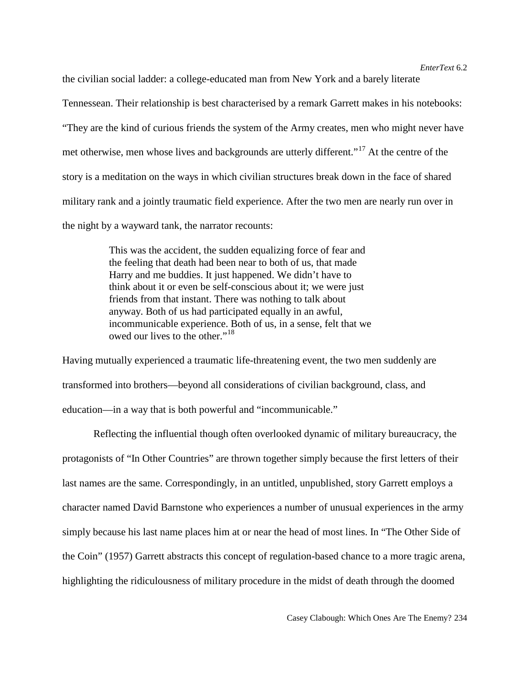the civilian social ladder: a college-educated man from New York and a barely literate Tennessean. Their relationship is best characterised by a remark Garrett makes in his notebooks: "They are the kind of curious friends the system of the Army creates, men who might never have met otherwise, men whose lives and backgrounds are utterly different."<sup>[17](#page-25-15)</sup> At the centre of the story is a meditation on the ways in which civilian structures break down in the face of shared military rank and a jointly traumatic field experience. After the two men are nearly run over in the night by a wayward tank, the narrator recounts:

> This was the accident, the sudden equalizing force of fear and the feeling that death had been near to both of us, that made Harry and me buddies. It just happened. We didn't have to think about it or even be self-conscious about it; we were just friends from that instant. There was nothing to talk about anyway. Both of us had participated equally in an awful, incommunicable experience. Both of us, in a sense, felt that we owed our lives to the other."[18](#page-25-16)

Having mutually experienced a traumatic life-threatening event, the two men suddenly are transformed into brothers—beyond all considerations of civilian background, class, and education—in a way that is both powerful and "incommunicable."

Reflecting the influential though often overlooked dynamic of military bureaucracy, the protagonists of "In Other Countries" are thrown together simply because the first letters of their last names are the same. Correspondingly, in an untitled, unpublished, story Garrett employs a character named David Barnstone who experiences a number of unusual experiences in the army simply because his last name places him at or near the head of most lines. In "The Other Side of the Coin" (1957) Garrett abstracts this concept of regulation-based chance to a more tragic arena, highlighting the ridiculousness of military procedure in the midst of death through the doomed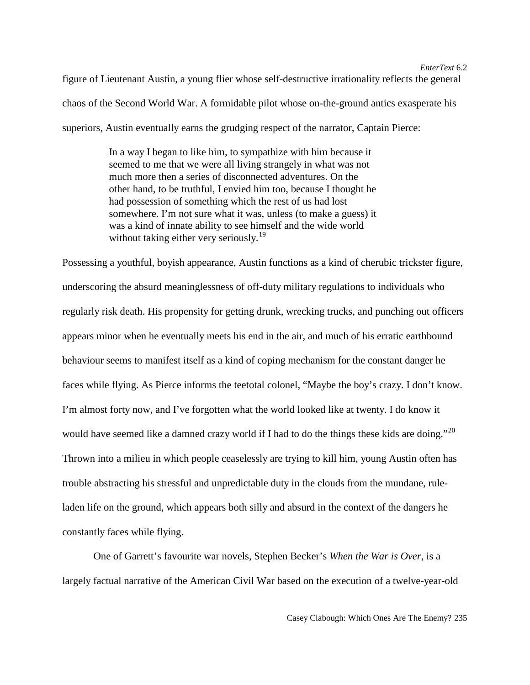figure of Lieutenant Austin, a young flier whose self-destructive irrationality reflects the general chaos of the Second World War. A formidable pilot whose on-the-ground antics exasperate his superiors, Austin eventually earns the grudging respect of the narrator, Captain Pierce:

> In a way I began to like him, to sympathize with him because it seemed to me that we were all living strangely in what was not much more then a series of disconnected adventures. On the other hand, to be truthful, I envied him too, because I thought he had possession of something which the rest of us had lost somewhere. I'm not sure what it was, unless (to make a guess) it was a kind of innate ability to see himself and the wide world without taking either very seriously.<sup>[19](#page-25-17)</sup>

Possessing a youthful, boyish appearance, Austin functions as a kind of cherubic trickster figure, underscoring the absurd meaninglessness of off-duty military regulations to individuals who regularly risk death. His propensity for getting drunk, wrecking trucks, and punching out officers appears minor when he eventually meets his end in the air, and much of his erratic earthbound behaviour seems to manifest itself as a kind of coping mechanism for the constant danger he faces while flying. As Pierce informs the teetotal colonel, "Maybe the boy's crazy. I don't know. I'm almost forty now, and I've forgotten what the world looked like at twenty. I do know it would have seemed like a damned crazy world if I had to do the things these kids are doing."<sup>[20](#page-25-18)</sup> Thrown into a milieu in which people ceaselessly are trying to kill him, young Austin often has trouble abstracting his stressful and unpredictable duty in the clouds from the mundane, ruleladen life on the ground, which appears both silly and absurd in the context of the dangers he constantly faces while flying.

One of Garrett's favourite war novels, Stephen Becker's *When the War is Over*, is a largely factual narrative of the American Civil War based on the execution of a twelve-year-old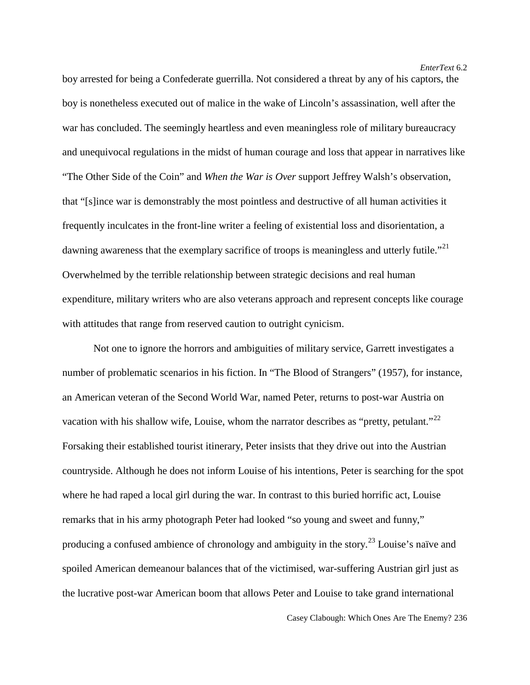boy arrested for being a Confederate guerrilla. Not considered a threat by any of his captors, the boy is nonetheless executed out of malice in the wake of Lincoln's assassination, well after the war has concluded. The seemingly heartless and even meaningless role of military bureaucracy and unequivocal regulations in the midst of human courage and loss that appear in narratives like "The Other Side of the Coin" and *When the War is Over* support Jeffrey Walsh's observation, that "[s]ince war is demonstrably the most pointless and destructive of all human activities it frequently inculcates in the front-line writer a feeling of existential loss and disorientation, a dawning awareness that the exemplary sacrifice of troops is meaningless and utterly futile."<sup>[21](#page-25-19)</sup> Overwhelmed by the terrible relationship between strategic decisions and real human expenditure, military writers who are also veterans approach and represent concepts like courage with attitudes that range from reserved caution to outright cynicism.

Not one to ignore the horrors and ambiguities of military service, Garrett investigates a number of problematic scenarios in his fiction. In "The Blood of Strangers" (1957), for instance, an American veteran of the Second World War, named Peter, returns to post-war Austria on vacation with his shallow wife, Louise, whom the narrator describes as "pretty, petulant."<sup>[22](#page-25-20)</sup> Forsaking their established tourist itinerary, Peter insists that they drive out into the Austrian countryside. Although he does not inform Louise of his intentions, Peter is searching for the spot where he had raped a local girl during the war. In contrast to this buried horrific act, Louise remarks that in his army photograph Peter had looked "so young and sweet and funny," producing a confused ambience of chronology and ambiguity in the story.[23](#page-25-21) Louise's naïve and spoiled American demeanour balances that of the victimised, war-suffering Austrian girl just as the lucrative post-war American boom that allows Peter and Louise to take grand international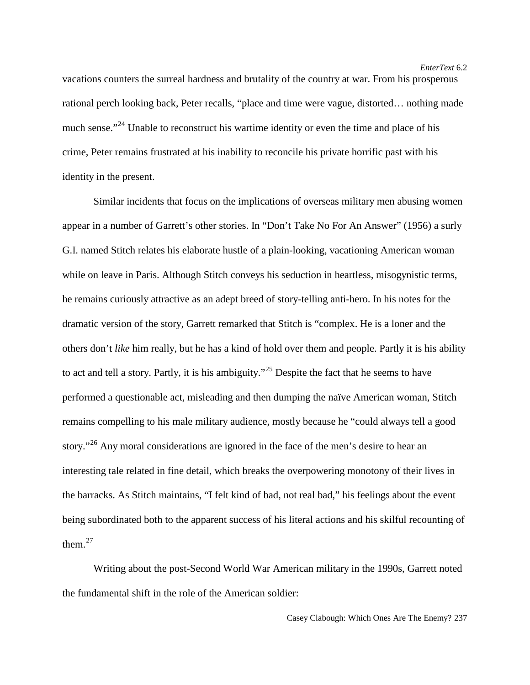vacations counters the surreal hardness and brutality of the country at war. From his prosperous rational perch looking back, Peter recalls, "place and time were vague, distorted… nothing made much sense."<sup>[24](#page-25-22)</sup> Unable to reconstruct his wartime identity or even the time and place of his crime, Peter remains frustrated at his inability to reconcile his private horrific past with his identity in the present.

Similar incidents that focus on the implications of overseas military men abusing women appear in a number of Garrett's other stories. In "Don't Take No For An Answer" (1956) a surly G.I. named Stitch relates his elaborate hustle of a plain-looking, vacationing American woman while on leave in Paris. Although Stitch conveys his seduction in heartless, misogynistic terms, he remains curiously attractive as an adept breed of story-telling anti-hero. In his notes for the dramatic version of the story, Garrett remarked that Stitch is "complex. He is a loner and the others don't *like* him really, but he has a kind of hold over them and people. Partly it is his ability to act and tell a story. Partly, it is his ambiguity."[25](#page-25-23) Despite the fact that he seems to have performed a questionable act, misleading and then dumping the naïve American woman, Stitch remains compelling to his male military audience, mostly because he "could always tell a good story."<sup>[26](#page-25-24)</sup> Any moral considerations are ignored in the face of the men's desire to hear an interesting tale related in fine detail, which breaks the overpowering monotony of their lives in the barracks. As Stitch maintains, "I felt kind of bad, not real bad," his feelings about the event being subordinated both to the apparent success of his literal actions and his skilful recounting of them. $27$ 

Writing about the post-Second World War American military in the 1990s, Garrett noted the fundamental shift in the role of the American soldier: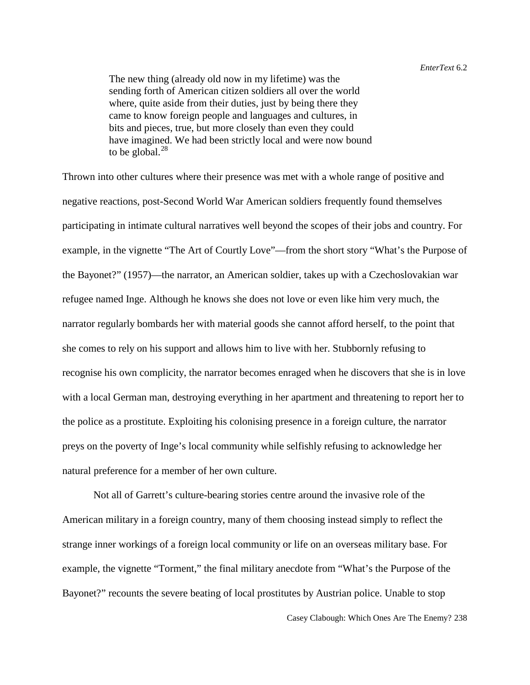The new thing (already old now in my lifetime) was the sending forth of American citizen soldiers all over the world where, quite aside from their duties, just by being there they came to know foreign people and languages and cultures, in bits and pieces, true, but more closely than even they could have imagined. We had been strictly local and were now bound to be global. $^{28}$  $^{28}$  $^{28}$ 

Thrown into other cultures where their presence was met with a whole range of positive and negative reactions, post-Second World War American soldiers frequently found themselves participating in intimate cultural narratives well beyond the scopes of their jobs and country. For example, in the vignette "The Art of Courtly Love"—from the short story "What's the Purpose of the Bayonet?" (1957)—the narrator, an American soldier, takes up with a Czechoslovakian war refugee named Inge. Although he knows she does not love or even like him very much, the narrator regularly bombards her with material goods she cannot afford herself, to the point that she comes to rely on his support and allows him to live with her. Stubbornly refusing to recognise his own complicity, the narrator becomes enraged when he discovers that she is in love with a local German man, destroying everything in her apartment and threatening to report her to the police as a prostitute. Exploiting his colonising presence in a foreign culture, the narrator preys on the poverty of Inge's local community while selfishly refusing to acknowledge her natural preference for a member of her own culture.

Not all of Garrett's culture-bearing stories centre around the invasive role of the American military in a foreign country, many of them choosing instead simply to reflect the strange inner workings of a foreign local community or life on an overseas military base. For example, the vignette "Torment," the final military anecdote from "What's the Purpose of the Bayonet?" recounts the severe beating of local prostitutes by Austrian police. Unable to stop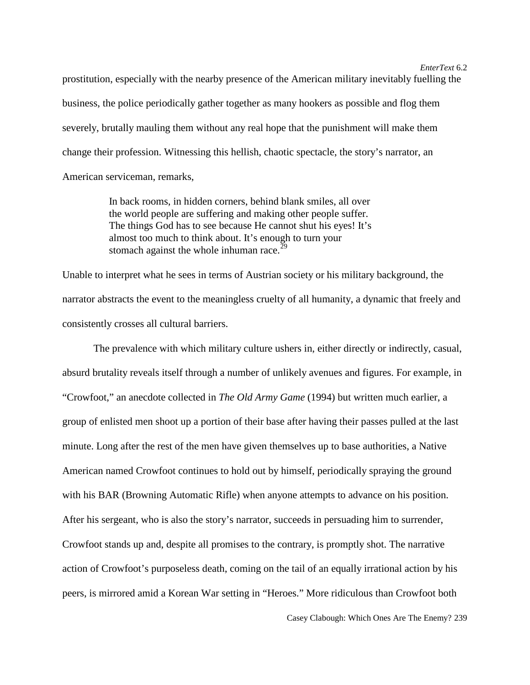prostitution, especially with the nearby presence of the American military inevitably fuelling the business, the police periodically gather together as many hookers as possible and flog them severely, brutally mauling them without any real hope that the punishment will make them change their profession. Witnessing this hellish, chaotic spectacle, the story's narrator, an American serviceman, remarks,

> In back rooms, in hidden corners, behind blank smiles, all over the world people are suffering and making other people suffer. The things God has to see because He cannot shut his eyes! It's almost too much to think about. It's enough to turn your stomach against the whole inhuman race. $^{29}$  $^{29}$  $^{29}$

Unable to interpret what he sees in terms of Austrian society or his military background, the narrator abstracts the event to the meaningless cruelty of all humanity, a dynamic that freely and consistently crosses all cultural barriers.

The prevalence with which military culture ushers in, either directly or indirectly, casual, absurd brutality reveals itself through a number of unlikely avenues and figures. For example, in "Crowfoot," an anecdote collected in *The Old Army Game* (1994) but written much earlier, a group of enlisted men shoot up a portion of their base after having their passes pulled at the last minute. Long after the rest of the men have given themselves up to base authorities, a Native American named Crowfoot continues to hold out by himself, periodically spraying the ground with his BAR (Browning Automatic Rifle) when anyone attempts to advance on his position. After his sergeant, who is also the story's narrator, succeeds in persuading him to surrender, Crowfoot stands up and, despite all promises to the contrary, is promptly shot. The narrative action of Crowfoot's purposeless death, coming on the tail of an equally irrational action by his peers, is mirrored amid a Korean War setting in "Heroes." More ridiculous than Crowfoot both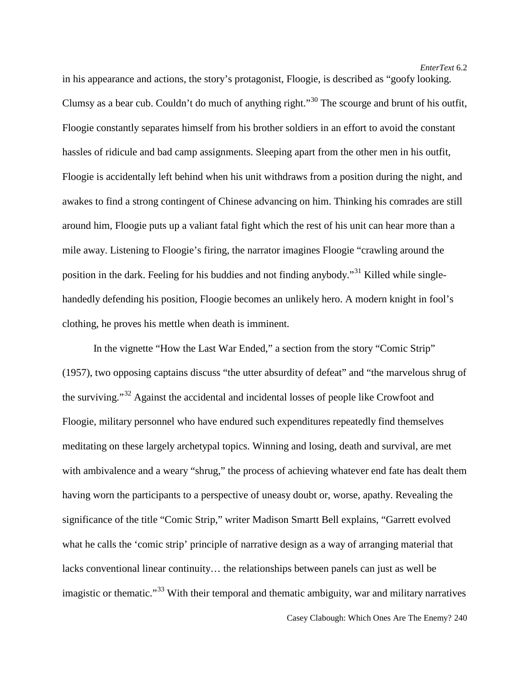in his appearance and actions, the story's protagonist, Floogie, is described as "goofy looking. Clumsy as a bear cub. Couldn't do much of anything right."[30](#page-25-28) The scourge and brunt of his outfit, Floogie constantly separates himself from his brother soldiers in an effort to avoid the constant hassles of ridicule and bad camp assignments. Sleeping apart from the other men in his outfit, Floogie is accidentally left behind when his unit withdraws from a position during the night, and awakes to find a strong contingent of Chinese advancing on him. Thinking his comrades are still around him, Floogie puts up a valiant fatal fight which the rest of his unit can hear more than a mile away. Listening to Floogie's firing, the narrator imagines Floogie "crawling around the position in the dark. Feeling for his buddies and not finding anybody."[31](#page-25-29) Killed while singlehandedly defending his position, Floogie becomes an unlikely hero. A modern knight in fool's clothing, he proves his mettle when death is imminent.

In the vignette "How the Last War Ended," a section from the story "Comic Strip" (1957), two opposing captains discuss "the utter absurdity of defeat" and "the marvelous shrug of the surviving."[32](#page-25-30) Against the accidental and incidental losses of people like Crowfoot and Floogie, military personnel who have endured such expenditures repeatedly find themselves meditating on these largely archetypal topics. Winning and losing, death and survival, are met with ambivalence and a weary "shrug," the process of achieving whatever end fate has dealt them having worn the participants to a perspective of uneasy doubt or, worse, apathy. Revealing the significance of the title "Comic Strip," writer Madison Smartt Bell explains, "Garrett evolved what he calls the 'comic strip' principle of narrative design as a way of arranging material that lacks conventional linear continuity… the relationships between panels can just as well be imagistic or thematic."<sup>[33](#page-25-31)</sup> With their temporal and thematic ambiguity, war and military narratives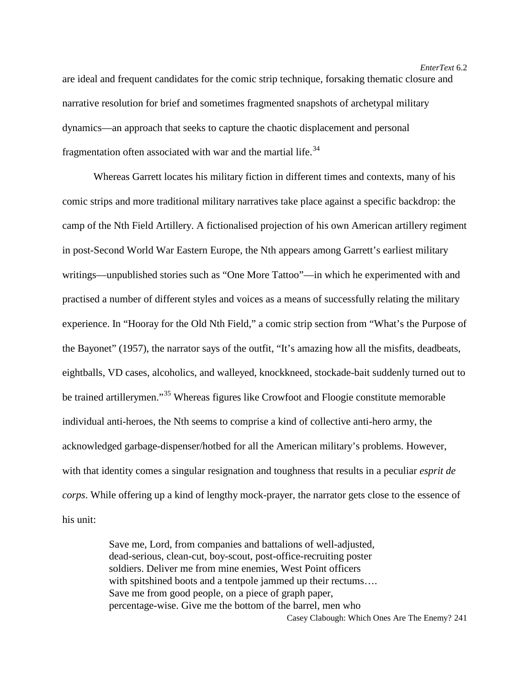are ideal and frequent candidates for the comic strip technique, forsaking thematic closure and narrative resolution for brief and sometimes fragmented snapshots of archetypal military dynamics—an approach that seeks to capture the chaotic displacement and personal fragmentation often associated with war and the martial life.<sup>[34](#page-25-32)</sup>

Whereas Garrett locates his military fiction in different times and contexts, many of his comic strips and more traditional military narratives take place against a specific backdrop: the camp of the Nth Field Artillery. A fictionalised projection of his own American artillery regiment in post-Second World War Eastern Europe, the Nth appears among Garrett's earliest military writings—unpublished stories such as "One More Tattoo"—in which he experimented with and practised a number of different styles and voices as a means of successfully relating the military experience. In "Hooray for the Old Nth Field," a comic strip section from "What's the Purpose of the Bayonet" (1957), the narrator says of the outfit, "It's amazing how all the misfits, deadbeats, eightballs, VD cases, alcoholics, and walleyed, knockkneed, stockade-bait suddenly turned out to be trained artillerymen."<sup>[35](#page-25-33)</sup> Whereas figures like Crowfoot and Floogie constitute memorable individual anti-heroes, the Nth seems to comprise a kind of collective anti-hero army, the acknowledged garbage-dispenser/hotbed for all the American military's problems. However, with that identity comes a singular resignation and toughness that results in a peculiar *esprit de corps*. While offering up a kind of lengthy mock-prayer, the narrator gets close to the essence of his unit:

> Casey Clabough: Which Ones Are The Enemy? 241 Save me, Lord, from companies and battalions of well-adjusted, dead-serious, clean-cut, boy-scout, post-office-recruiting poster soldiers. Deliver me from mine enemies, West Point officers with spitshined boots and a tentpole jammed up their rectums.... Save me from good people, on a piece of graph paper, percentage-wise. Give me the bottom of the barrel, men who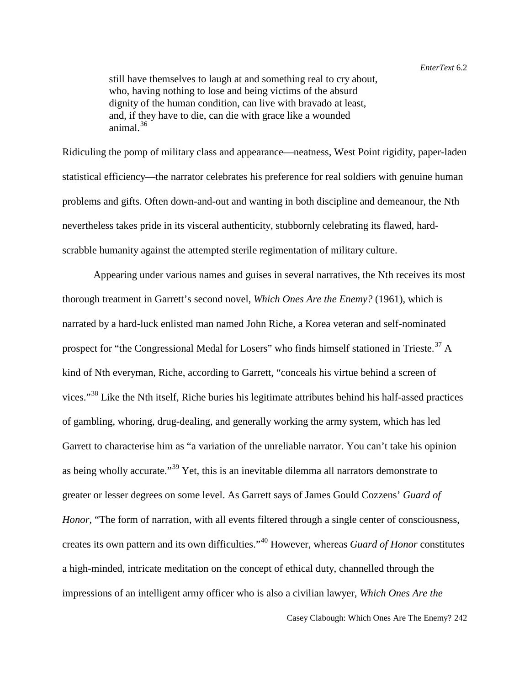still have themselves to laugh at and something real to cry about, who, having nothing to lose and being victims of the absurd dignity of the human condition, can live with bravado at least, and, if they have to die, can die with grace like a wounded animal. $36$ 

Ridiculing the pomp of military class and appearance—neatness, West Point rigidity, paper-laden statistical efficiency—the narrator celebrates his preference for real soldiers with genuine human problems and gifts. Often down-and-out and wanting in both discipline and demeanour, the Nth nevertheless takes pride in its visceral authenticity, stubbornly celebrating its flawed, hardscrabble humanity against the attempted sterile regimentation of military culture.

Appearing under various names and guises in several narratives, the Nth receives its most thorough treatment in Garrett's second novel, *Which Ones Are the Enemy?* (1961), which is narrated by a hard-luck enlisted man named John Riche, a Korea veteran and self-nominated prospect for "the Congressional Medal for Losers" who finds himself stationed in Trieste.<sup>[37](#page-25-35)</sup> A kind of Nth everyman, Riche, according to Garrett, "conceals his virtue behind a screen of vices."<sup>[38](#page-25-36)</sup> Like the Nth itself, Riche buries his legitimate attributes behind his half-assed practices of gambling, whoring, drug-dealing, and generally working the army system, which has led Garrett to characterise him as "a variation of the unreliable narrator. You can't take his opinion as being wholly accurate."<sup>[39](#page-25-37)</sup> Yet, this is an inevitable dilemma all narrators demonstrate to greater or lesser degrees on some level. As Garrett says of James Gould Cozzens' *Guard of Honor*, "The form of narration, with all events filtered through a single center of consciousness, creates its own pattern and its own difficulties."[40](#page-25-38) However, whereas *Guard of Honor* constitutes a high-minded, intricate meditation on the concept of ethical duty, channelled through the impressions of an intelligent army officer who is also a civilian lawyer, *Which Ones Are the*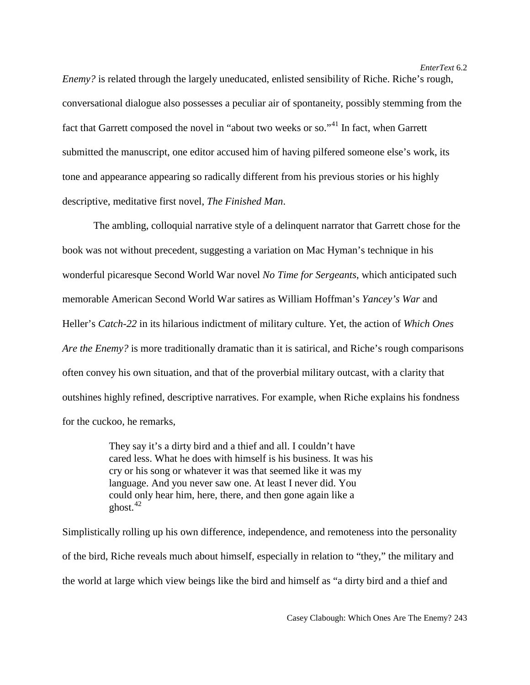*Enemy?* is related through the largely uneducated, enlisted sensibility of Riche. Riche's rough, conversational dialogue also possesses a peculiar air of spontaneity, possibly stemming from the fact that Garrett composed the novel in "about two weeks or so."<sup>[41](#page-25-39)</sup> In fact, when Garrett submitted the manuscript, one editor accused him of having pilfered someone else's work, its tone and appearance appearing so radically different from his previous stories or his highly descriptive, meditative first novel, *The Finished Man*.

The ambling, colloquial narrative style of a delinquent narrator that Garrett chose for the book was not without precedent, suggesting a variation on Mac Hyman's technique in his wonderful picaresque Second World War novel *No Time for Sergeants*, which anticipated such memorable American Second World War satires as William Hoffman's *Yancey's War* and Heller's *Catch-22* in its hilarious indictment of military culture. Yet, the action of *Which Ones Are the Enemy?* is more traditionally dramatic than it is satirical, and Riche's rough comparisons often convey his own situation, and that of the proverbial military outcast, with a clarity that outshines highly refined, descriptive narratives. For example, when Riche explains his fondness for the cuckoo, he remarks,

> They say it's a dirty bird and a thief and all. I couldn't have cared less. What he does with himself is his business. It was his cry or his song or whatever it was that seemed like it was my language. And you never saw one. At least I never did. You could only hear him, here, there, and then gone again like a ghost. $42$

Simplistically rolling up his own difference, independence, and remoteness into the personality of the bird, Riche reveals much about himself, especially in relation to "they," the military and the world at large which view beings like the bird and himself as "a dirty bird and a thief and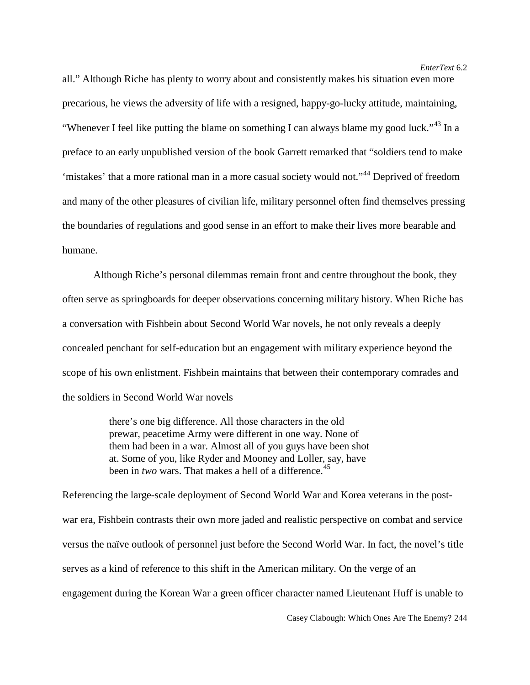all." Although Riche has plenty to worry about and consistently makes his situation even more precarious, he views the adversity of life with a resigned, happy-go-lucky attitude, maintaining, "Whenever I feel like putting the blame on something I can always blame my good luck."<sup>[43](#page-25-41)</sup> In a preface to an early unpublished version of the book Garrett remarked that "soldiers tend to make 'mistakes' that a more rational man in a more casual society would not."<sup>[44](#page-25-42)</sup> Deprived of freedom and many of the other pleasures of civilian life, military personnel often find themselves pressing the boundaries of regulations and good sense in an effort to make their lives more bearable and humane.

Although Riche's personal dilemmas remain front and centre throughout the book, they often serve as springboards for deeper observations concerning military history. When Riche has a conversation with Fishbein about Second World War novels, he not only reveals a deeply concealed penchant for self-education but an engagement with military experience beyond the scope of his own enlistment. Fishbein maintains that between their contemporary comrades and the soldiers in Second World War novels

> there's one big difference. All those characters in the old prewar, peacetime Army were different in one way. None of them had been in a war. Almost all of you guys have been shot at. Some of you, like Ryder and Mooney and Loller, say, have been in *two* wars. That makes a hell of a difference.<sup>[45](#page-25-43)</sup>

Referencing the large-scale deployment of Second World War and Korea veterans in the postwar era, Fishbein contrasts their own more jaded and realistic perspective on combat and service versus the naïve outlook of personnel just before the Second World War. In fact, the novel's title serves as a kind of reference to this shift in the American military. On the verge of an engagement during the Korean War a green officer character named Lieutenant Huff is unable to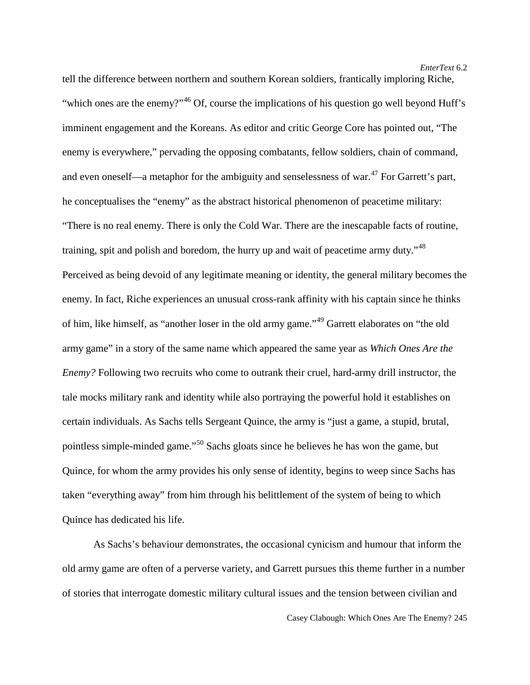tell the difference between northern and southern Korean soldiers, frantically imploring Riche, "which ones are the enemy?"<sup>[46](#page-25-44)</sup> Of, course the implications of his question go well beyond Huff's imminent engagement and the Koreans. As editor and critic George Core has pointed out, "The enemy is everywhere," pervading the opposing combatants, fellow soldiers, chain of command, and even oneself—a metaphor for the ambiguity and senselessness of war. $^{47}$  $^{47}$  $^{47}$  For Garrett's part, he conceptualises the "enemy" as the abstract historical phenomenon of peacetime military: "There is no real enemy. There is only the Cold War. There are the inescapable facts of routine, training, spit and polish and boredom, the hurry up and wait of peacetime army duty."[48](#page-25-3) Perceived as being devoid of any legitimate meaning or identity, the general military becomes the enemy. In fact, Riche experiences an unusual cross-rank affinity with his captain since he thinks of him, like himself, as "another loser in the old army game."<sup>[49](#page-25-45)</sup> Garrett elaborates on "the old army game" in a story of the same name which appeared the same year as *Which Ones Are the Enemy?* Following two recruits who come to outrank their cruel, hard-army drill instructor, the tale mocks military rank and identity while also portraying the powerful hold it establishes on certain individuals. As Sachs tells Sergeant Quince, the army is "just a game, a stupid, brutal, pointless simple-minded game."[50](#page-25-46) Sachs gloats since he believes he has won the game, but Quince, for whom the army provides his only sense of identity, begins to weep since Sachs has taken "everything away" from him through his belittlement of the system of being to which Quince has dedicated his life.

As Sachs's behaviour demonstrates, the occasional cynicism and humour that inform the old army game are often of a perverse variety, and Garrett pursues this theme further in a number of stories that interrogate domestic military cultural issues and the tension between civilian and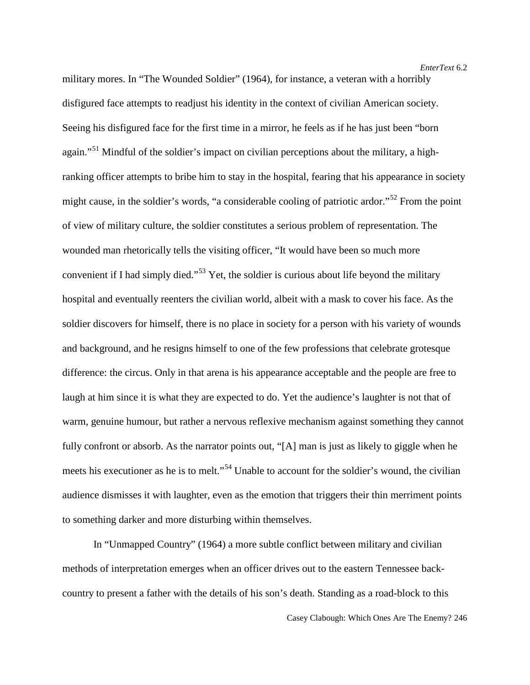military mores. In "The Wounded Soldier" (1964), for instance, a veteran with a horribly disfigured face attempts to readjust his identity in the context of civilian American society. Seeing his disfigured face for the first time in a mirror, he feels as if he has just been "born again."<sup>[51](#page-25-47)</sup> Mindful of the soldier's impact on civilian perceptions about the military, a highranking officer attempts to bribe him to stay in the hospital, fearing that his appearance in society might cause, in the soldier's words, "a considerable cooling of patriotic ardor."<sup>[52](#page-25-6)</sup> From the point of view of military culture, the soldier constitutes a serious problem of representation. The wounded man rhetorically tells the visiting officer, "It would have been so much more convenient if I had simply died."[53](#page-25-48) Yet, the soldier is curious about life beyond the military hospital and eventually reenters the civilian world, albeit with a mask to cover his face. As the soldier discovers for himself, there is no place in society for a person with his variety of wounds and background, and he resigns himself to one of the few professions that celebrate grotesque difference: the circus. Only in that arena is his appearance acceptable and the people are free to laugh at him since it is what they are expected to do. Yet the audience's laughter is not that of warm, genuine humour, but rather a nervous reflexive mechanism against something they cannot fully confront or absorb. As the narrator points out, "[A] man is just as likely to giggle when he meets his executioner as he is to melt."<sup>[54](#page-25-7)</sup> Unable to account for the soldier's wound, the civilian audience dismisses it with laughter, even as the emotion that triggers their thin merriment points to something darker and more disturbing within themselves.

In "Unmapped Country" (1964) a more subtle conflict between military and civilian methods of interpretation emerges when an officer drives out to the eastern Tennessee backcountry to present a father with the details of his son's death. Standing as a road-block to this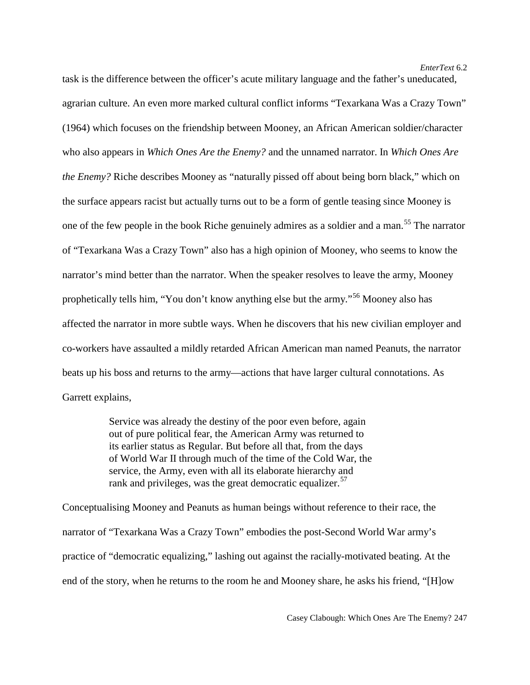*EnterText* 6.2

task is the difference between the officer's acute military language and the father's uneducated, agrarian culture. An even more marked cultural conflict informs "Texarkana Was a Crazy Town" (1964) which focuses on the friendship between Mooney, an African American soldier/character who also appears in *Which Ones Are the Enemy?* and the unnamed narrator. In *Which Ones Are the Enemy?* Riche describes Mooney as "naturally pissed off about being born black," which on the surface appears racist but actually turns out to be a form of gentle teasing since Mooney is one of the few people in the book Riche genuinely admires as a soldier and a man.<sup>[55](#page-25-8)</sup> The narrator of "Texarkana Was a Crazy Town" also has a high opinion of Mooney, who seems to know the narrator's mind better than the narrator. When the speaker resolves to leave the army, Mooney prophetically tells him, "You don't know anything else but the army."[56](#page-25-49) Mooney also has affected the narrator in more subtle ways. When he discovers that his new civilian employer and co-workers have assaulted a mildly retarded African American man named Peanuts, the narrator beats up his boss and returns to the army—actions that have larger cultural connotations. As Garrett explains,

> Service was already the destiny of the poor even before, again out of pure political fear, the American Army was returned to its earlier status as Regular. But before all that, from the days of World War II through much of the time of the Cold War, the service, the Army, even with all its elaborate hierarchy and rank and privileges, was the great democratic equalizer.  $57$

Conceptualising Mooney and Peanuts as human beings without reference to their race, the narrator of "Texarkana Was a Crazy Town" embodies the post-Second World War army's practice of "democratic equalizing," lashing out against the racially-motivated beating. At the end of the story, when he returns to the room he and Mooney share, he asks his friend, "[H]ow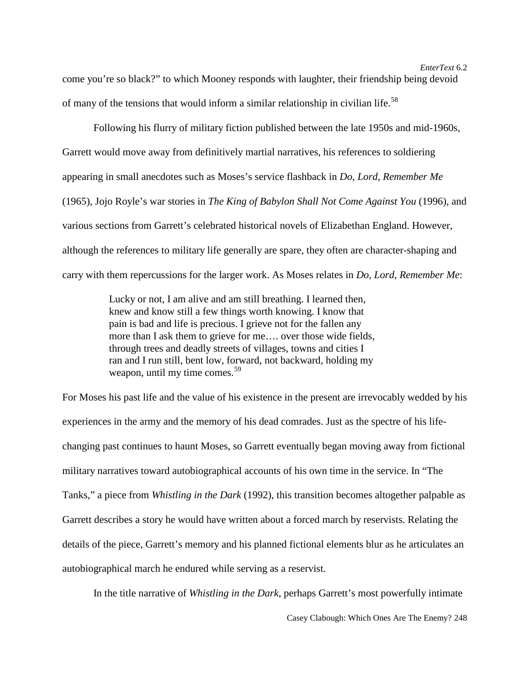come you're so black?" to which Mooney responds with laughter, their friendship being devoid of many of the tensions that would inform a similar relationship in civilian life.<sup>[58](#page-25-10)</sup>

Following his flurry of military fiction published between the late 1950s and mid-1960s, Garrett would move away from definitively martial narratives, his references to soldiering appearing in small anecdotes such as Moses's service flashback in *Do, Lord, Remember Me*  (1965), Jojo Royle's war stories in *The King of Babylon Shall Not Come Against You* (1996), and various sections from Garrett's celebrated historical novels of Elizabethan England. However, although the references to military life generally are spare, they often are character-shaping and carry with them repercussions for the larger work. As Moses relates in *Do, Lord, Remember Me*:

> Lucky or not, I am alive and am still breathing. I learned then, knew and know still a few things worth knowing. I know that pain is bad and life is precious. I grieve not for the fallen any more than I ask them to grieve for me…. over those wide fields, through trees and deadly streets of villages, towns and cities I ran and I run still, bent low, forward, not backward, holding my weapon, until my time comes.<sup>[59](#page-25-50)</sup>

For Moses his past life and the value of his existence in the present are irrevocably wedded by his experiences in the army and the memory of his dead comrades. Just as the spectre of his lifechanging past continues to haunt Moses, so Garrett eventually began moving away from fictional military narratives toward autobiographical accounts of his own time in the service. In "The Tanks," a piece from *Whistling in the Dark* (1992), this transition becomes altogether palpable as Garrett describes a story he would have written about a forced march by reservists. Relating the details of the piece, Garrett's memory and his planned fictional elements blur as he articulates an autobiographical march he endured while serving as a reservist.

In the title narrative of *Whistling in the Dark*, perhaps Garrett's most powerfully intimate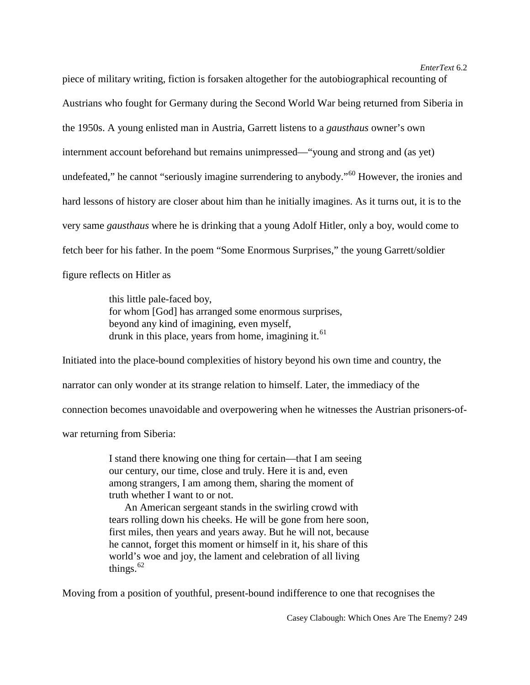piece of military writing, fiction is forsaken altogether for the autobiographical recounting of Austrians who fought for Germany during the Second World War being returned from Siberia in the 1950s. A young enlisted man in Austria, Garrett listens to a *gausthaus* owner's own internment account beforehand but remains unimpressed—"young and strong and (as yet) undefeated," he cannot "seriously imagine surrendering to anybody."<sup>[60](#page-25-11)</sup> However, the ironies and hard lessons of history are closer about him than he initially imagines. As it turns out, it is to the very same *gausthaus* where he is drinking that a young Adolf Hitler, only a boy, would come to fetch beer for his father. In the poem "Some Enormous Surprises," the young Garrett/soldier figure reflects on Hitler as

> this little pale-faced boy, for whom [God] has arranged some enormous surprises, beyond any kind of imagining, even myself, drunk in this place, years from home, imagining it.<sup>[61](#page-25-51)</sup>

Initiated into the place-bound complexities of history beyond his own time and country, the narrator can only wonder at its strange relation to himself. Later, the immediacy of the connection becomes unavoidable and overpowering when he witnesses the Austrian prisoners-of-

war returning from Siberia:

I stand there knowing one thing for certain—that I am seeing our century, our time, close and truly. Here it is and, even among strangers, I am among them, sharing the moment of truth whether I want to or not.

An American sergeant stands in the swirling crowd with tears rolling down his cheeks. He will be gone from here soon, first miles, then years and years away. But he will not, because he cannot, forget this moment or himself in it, his share of this world's woe and joy, the lament and celebration of all living things. $62$ 

Moving from a position of youthful, present-bound indifference to one that recognises the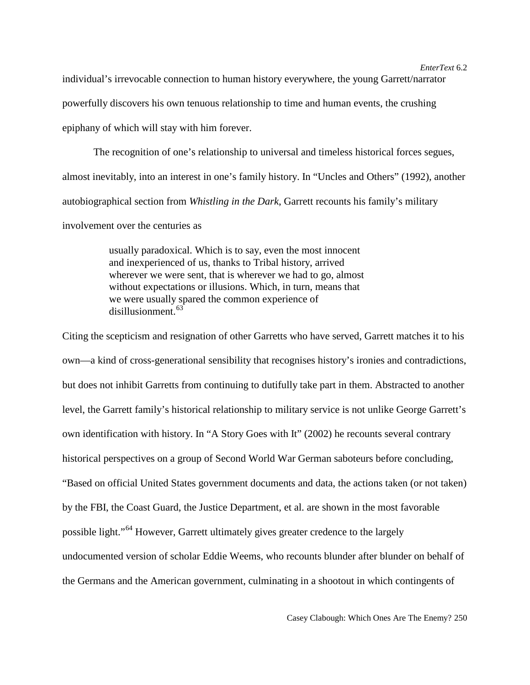individual's irrevocable connection to human history everywhere, the young Garrett/narrator powerfully discovers his own tenuous relationship to time and human events, the crushing epiphany of which will stay with him forever.

The recognition of one's relationship to universal and timeless historical forces segues, almost inevitably, into an interest in one's family history. In "Uncles and Others" (1992), another autobiographical section from *Whistling in the Dark*, Garrett recounts his family's military involvement over the centuries as

> usually paradoxical. Which is to say, even the most innocent and inexperienced of us, thanks to Tribal history, arrived wherever we were sent, that is wherever we had to go, almost without expectations or illusions. Which, in turn, means that we were usually spared the common experience of disillusionment.<sup>[63](#page-25-52)</sup>

Citing the scepticism and resignation of other Garretts who have served, Garrett matches it to his own—a kind of cross-generational sensibility that recognises history's ironies and contradictions, but does not inhibit Garretts from continuing to dutifully take part in them. Abstracted to another level, the Garrett family's historical relationship to military service is not unlike George Garrett's own identification with history. In "A Story Goes with It" (2002) he recounts several contrary historical perspectives on a group of Second World War German saboteurs before concluding, "Based on official United States government documents and data, the actions taken (or not taken) by the FBI, the Coast Guard, the Justice Department, et al. are shown in the most favorable possible light."[64](#page-25-53) However, Garrett ultimately gives greater credence to the largely undocumented version of scholar Eddie Weems, who recounts blunder after blunder on behalf of the Germans and the American government, culminating in a shootout in which contingents of

### *EnterText* 6.2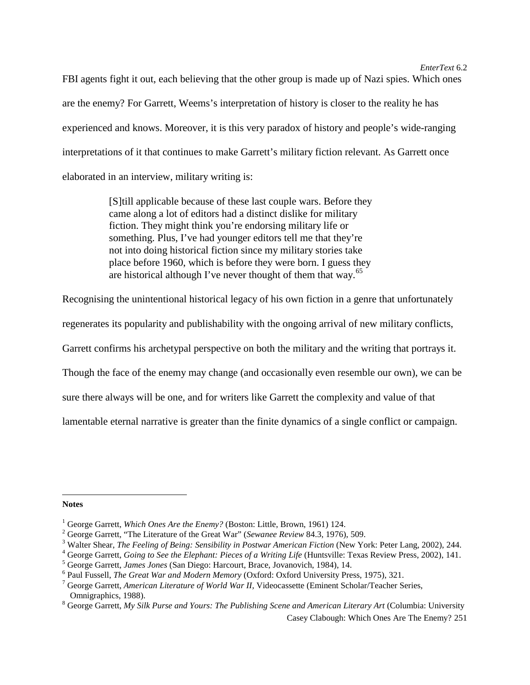FBI agents fight it out, each believing that the other group is made up of Nazi spies. Which ones are the enemy? For Garrett, Weems's interpretation of history is closer to the reality he has experienced and knows. Moreover, it is this very paradox of history and people's wide-ranging interpretations of it that continues to make Garrett's military fiction relevant. As Garrett once elaborated in an interview, military writing is:

> [S]till applicable because of these last couple wars. Before they came along a lot of editors had a distinct dislike for military fiction. They might think you're endorsing military life or something. Plus, I've had younger editors tell me that they're not into doing historical fiction since my military stories take place before 1960, which is before they were born. I guess they are historical although I've never thought of them that wav.<sup>[65](#page-25-14)</sup>

Recognising the unintentional historical legacy of his own fiction in a genre that unfortunately

regenerates its popularity and publishability with the ongoing arrival of new military conflicts,

Garrett confirms his archetypal perspective on both the military and the writing that portrays it.

Though the face of the enemy may change (and occasionally even resemble our own), we can be

sure there always will be one, and for writers like Garrett the complexity and value of that

lamentable eternal narrative is greater than the finite dynamics of a single conflict or campaign.

#### **Notes**

 $\overline{a}$ 

<sup>&</sup>lt;sup>1</sup> George Garrett, *Which Ones Are the Enemy?* (Boston: Little, Brown, 1961) 124.<br>
<sup>2</sup> George Garrett, "The Literature of the Great War" (*Sewanee Review 84.3, 1976*), 509.<br>
<sup>3</sup> Walter Shear, *The Feeling of Being: Sensi* 

Omnigraphics, 1988).<br><sup>8</sup> George Garrett, *My Silk Purse and Yours: The Publishing Scene and American Literary Art* (Columbia: University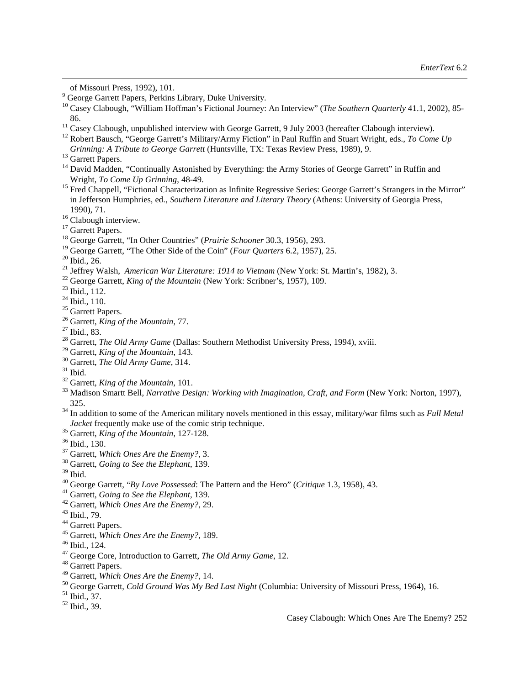- 
- <sup>11</sup> Casey Clabough, unpublished interview with George Garrett, 9 July 2003 (hereafter Clabough interview).<br><sup>12</sup> Robert Bausch, "George Garrett's Military/Army Fiction" in Paul Ruffin and Stuart Wright, eds., *To Come Up*<br>
- 

 $\overline{a}$ 

- <sup>13</sup> Garrett Papers.<br><sup>14</sup> David Madden, "Continually Astonished by Everything: the Army Stories of George Garrett" in Ruffin and Wright, *To Come Up Grinning*, 48-49.
- <sup>15</sup> Fred Chappell, "Fictional Characterization as Infinite Regressive Series: George Garrett's Strangers in the Mirror" in Jefferson Humphries, ed., *Southern Literature and Literary Theory* (Athens: University of Georgia Press,
- 
- 
- 1990), 71.<br><sup>16</sup> Clabough interview.<br><sup>17</sup> Garrett Papers.<br><sup>18</sup> George Garrett, "In Other Countries" (*Prairie Schooner* 30.3, 1956), 293.<br><sup>19</sup> George Garrett, "The Other Side of the Coin" (*Four Ouarters* 6.2, 1957), 25.
- 
- 
- <sup>20</sup> Ibid., 26.<br>
<sup>21</sup> Jeffrey Walsh, *American War Literature: 1914 to Vietnam* (New York: St. Martin's, 1982), 3.<br>
<sup>22</sup> George Garrett, *King of the Mountain* (New York: Scribner's, 1957), 109.<br>
<sup>23</sup> Ibid., 110.<br>
<sup>24</sup> Ib
- 
- 
- 
- 
- 
- 
- 
- 
- 
- 
- 
- <sup>30</sup> Garrett, *The Old Army Game*, 314.<br><sup>31</sup> Ibid.<br><sup>32</sup> Garrett, *King of the Mountain*, 101.<br><sup>33</sup> Madison Smartt Bell. *Narrative Design: Working with Imagination. Craft. and Form* (New York: Norton. 1997).
- 325. <sup>34</sup> In addition to some of the American military novels mentioned in this essay, military/war films such as *Full Metal*
- 
- 
- <sup>35</sup> Garrett, *King of the Mountain*, 127-128.<br><sup>36</sup> Ibid., 130.<br><sup>37</sup> Garrett, *Which Ones Are the Enemy*?, 3.<br><sup>38</sup> Garrett, *Going to See the Elephant*, 139.<br><sup>39</sup> Ibid.
- 
- 
- <sup>40</sup> George Garrett, "*By Love Possessed*: The Pattern and the Hero" (*Critique* 1.3, 1958), 43.<br>
<sup>41</sup> George Garrett, *Going to See the Elephant*, 139.<br>
<sup>42</sup> Garrett, *Which Ones Are the Enemy*?, 29.<br>
<sup>43</sup> Ibid., 79.<br>
<sup>4</sup>
- <span id="page-24-0"></span>
- 
- 
- 
- 
- 
- 
- 
- 
- <sup>50</sup> George Garrett, *Cold Ground Was My Bed Last Night* (Columbia: University of Missouri Press, 1964), 16. <sup>51</sup> Ibid., 37. 52 Ibid., 39.
- 
- 

of Missouri Press, 1992), 101. <sup>9</sup> George Garrett Papers, Perkins Library, Duke University. <sup>10</sup> Casey Clabough, "William Hoffman's Fictional Journey: An Interview" (*The Southern Quarterly* 41.1, 2002), 85-